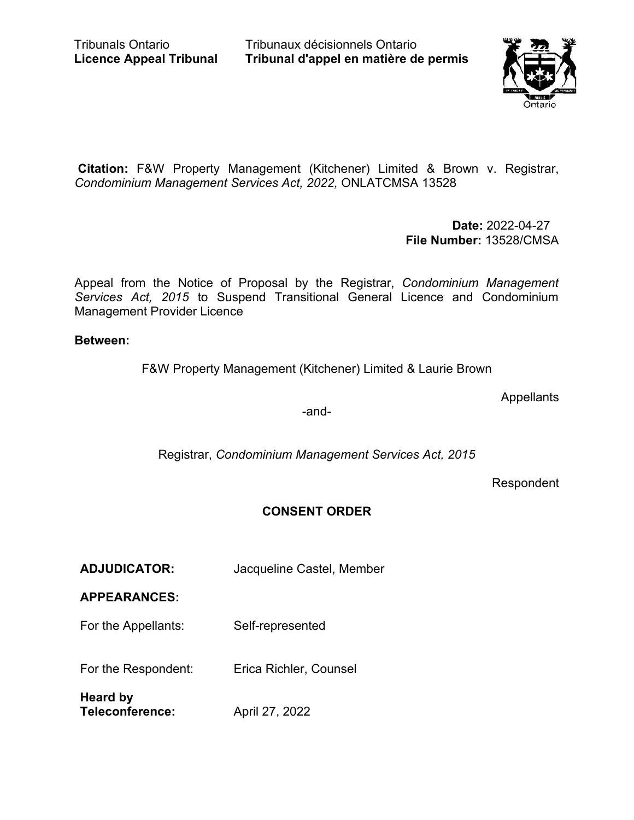Tribunaux décisionnels Ontario **Tribunal d'appel en matière de permis**



**Citation:** F&W Property Management (Kitchener) Limited & Brown v. Registrar, *Condominium Management Services Act, 2022,* ONLATCMSA 13528

> **Date:** 2022-04-27 **File Number:** 13528/CMSA

Appeal from the Notice of Proposal by the Registrar, *Condominium Management Services Act, 2015* to Suspend Transitional General Licence and Condominium Management Provider Licence

# **Between:**

F&W Property Management (Kitchener) Limited & Laurie Brown

**Appellants** 

-and-

Registrar, *Condominium Management Services Act, 2015*

Respondent

# **CONSENT ORDER**

**ADJUDICATOR:** Jacqueline Castel, Member

# **APPEARANCES:**

For the Appellants: Self-represented

For the Respondent: Erica Richler, Counsel

**Heard by Teleconference:** April 27, 2022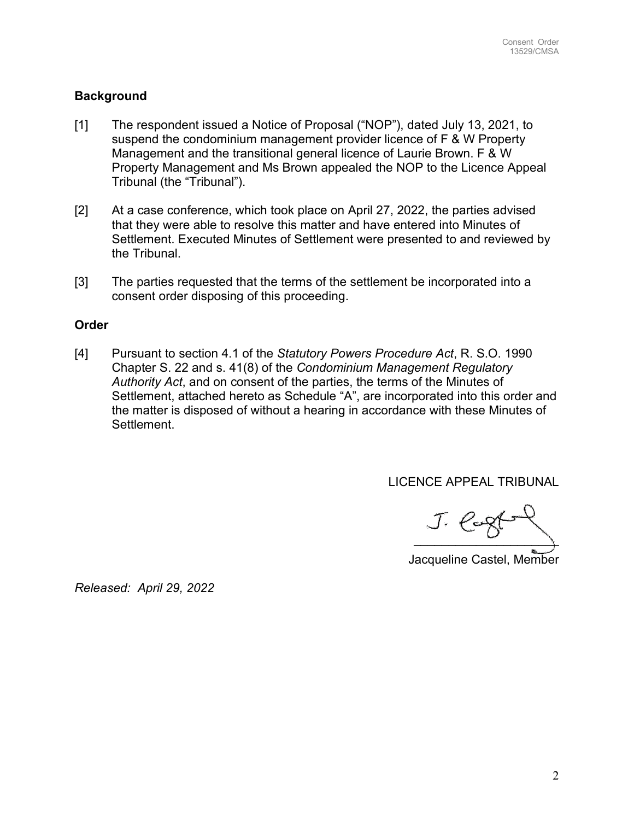# **Background**

- [1] The respondent issued a Notice of Proposal ("NOP"), dated July 13, 2021, to suspend the condominium management provider licence of F & W Property Management and the transitional general licence of Laurie Brown. F & W Property Management and Ms Brown appealed the NOP to the Licence Appeal Tribunal (the "Tribunal").
- [2] At a case conference, which took place on April 27, 2022, the parties advised that they were able to resolve this matter and have entered into Minutes of Settlement. Executed Minutes of Settlement were presented to and reviewed by the Tribunal.
- [3] The parties requested that the terms of the settlement be incorporated into a consent order disposing of this proceeding.

## **Order**

[4] Pursuant to section 4.1 of the *Statutory Powers Procedure Act*, R. S.O. 1990 Chapter S. 22 and s. 41(8) of the *Condominium Management Regulatory Authority Act*, and on consent of the parties, the terms of the Minutes of Settlement, attached hereto as Schedule "A", are incorporated into this order and the matter is disposed of without a hearing in accordance with these Minutes of Settlement.

LICENCE APPEAL TRIBUNAL

 $J.$  lag( $-$ 

Jacqueline Castel, Member

*Released: April 29, 2022*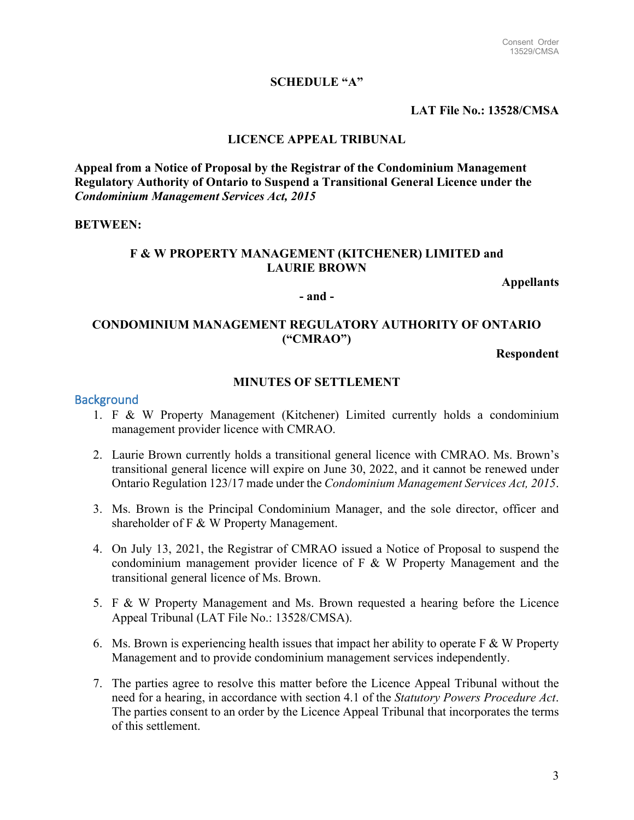## **SCHEDULE "A"**

## **LAT File No.: 13528/CMSA**

## **LICENCE APPEAL TRIBUNAL**

**Appeal from a Notice of Proposal by the Registrar of the Condominium Management Regulatory Authority of Ontario to Suspend a Transitional General Licence under the**  *Condominium Management Services Act, 2015*

#### **BETWEEN:**

## **F & W PROPERTY MANAGEMENT (KITCHENER) LIMITED and LAURIE BROWN**

**Appellants**

#### **- and -**

# **CONDOMINIUM MANAGEMENT REGULATORY AUTHORITY OF ONTARIO ("CMRAO")**

**Respondent**

## **MINUTES OF SETTLEMENT**

### **Background**

- 1. F & W Property Management (Kitchener) Limited currently holds a condominium management provider licence with CMRAO.
- 2. Laurie Brown currently holds a transitional general licence with CMRAO. Ms. Brown's transitional general licence will expire on June 30, 2022, and it cannot be renewed under Ontario Regulation 123/17 made under the *Condominium Management Services Act, 2015*.
- 3. Ms. Brown is the Principal Condominium Manager, and the sole director, officer and shareholder of F & W Property Management.
- 4. On July 13, 2021, the Registrar of CMRAO issued a Notice of Proposal to suspend the condominium management provider licence of F & W Property Management and the transitional general licence of Ms. Brown.
- 5. F & W Property Management and Ms. Brown requested a hearing before the Licence Appeal Tribunal (LAT File No.: 13528/CMSA).
- 6. Ms. Brown is experiencing health issues that impact her ability to operate  $F \& W$  Property Management and to provide condominium management services independently.
- 7. The parties agree to resolve this matter before the Licence Appeal Tribunal without the need for a hearing, in accordance with section 4.1 of the *Statutory Powers Procedure Act*. The parties consent to an order by the Licence Appeal Tribunal that incorporates the terms of this settlement.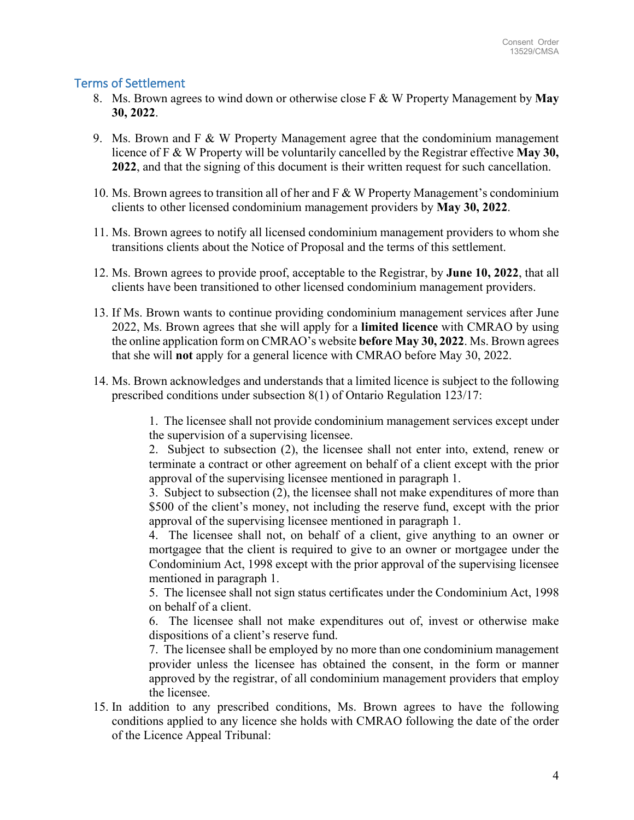# Terms of Settlement

- 8. Ms. Brown agrees to wind down or otherwise close F & W Property Management by **May 30, 2022**.
- 9. Ms. Brown and  $F \& W$  Property Management agree that the condominium management licence of F & W Property will be voluntarily cancelled by the Registrar effective **May 30, 2022**, and that the signing of this document is their written request for such cancellation.
- 10. Ms. Brown agrees to transition all of her and F & W Property Management's condominium clients to other licensed condominium management providers by **May 30, 2022**.
- 11. Ms. Brown agrees to notify all licensed condominium management providers to whom she transitions clients about the Notice of Proposal and the terms of this settlement.
- 12. Ms. Brown agrees to provide proof, acceptable to the Registrar, by **June 10, 2022**, that all clients have been transitioned to other licensed condominium management providers.
- 13. If Ms. Brown wants to continue providing condominium management services after June 2022, Ms. Brown agrees that she will apply for a **limited licence** with CMRAO by using the online application form on CMRAO's website **before May 30, 2022**. Ms. Brown agrees that she will **not** apply for a general licence with CMRAO before May 30, 2022.
- 14. Ms. Brown acknowledges and understands that a limited licence is subject to the following prescribed conditions under subsection 8(1) of Ontario Regulation 123/17:

1. The licensee shall not provide condominium management services except under the supervision of a supervising licensee.

2. Subject to subsection (2), the licensee shall not enter into, extend, renew or terminate a contract or other agreement on behalf of a client except with the prior approval of the supervising licensee mentioned in paragraph 1.

3. Subject to subsection (2), the licensee shall not make expenditures of more than \$500 of the client's money, not including the reserve fund, except with the prior approval of the supervising licensee mentioned in paragraph 1.

4. The licensee shall not, on behalf of a client, give anything to an owner or mortgagee that the client is required to give to an owner or mortgagee under the Condominium Act, 1998 except with the prior approval of the supervising licensee mentioned in paragraph 1.

5. The licensee shall not sign status certificates under the Condominium Act, 1998 on behalf of a client.

6. The licensee shall not make expenditures out of, invest or otherwise make dispositions of a client's reserve fund.

7. The licensee shall be employed by no more than one condominium management provider unless the licensee has obtained the consent, in the form or manner approved by the registrar, of all condominium management providers that employ the licensee.

15. In addition to any prescribed conditions, Ms. Brown agrees to have the following conditions applied to any licence she holds with CMRAO following the date of the order of the Licence Appeal Tribunal: